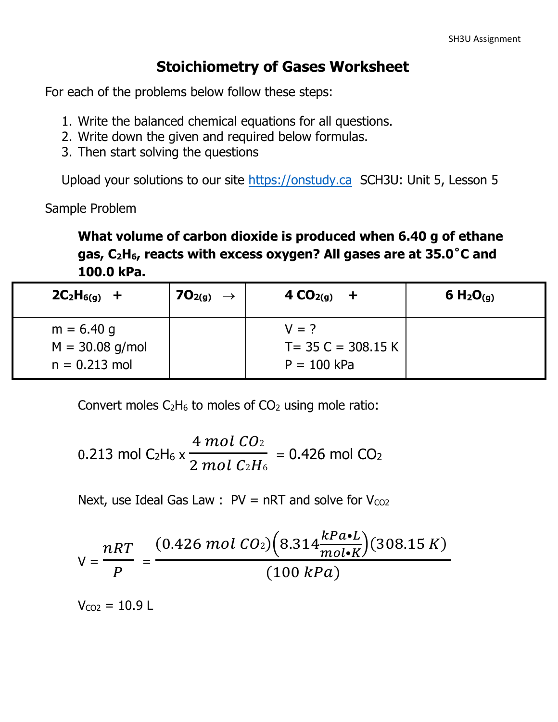#### **Stoichiometry of Gases Worksheet**

For each of the problems below follow these steps:

- 1. Write the balanced chemical equations for all questions.
- 2. Write down the given and required below formulas.
- 3. Then start solving the questions

Upload your solutions to our site [https://onstudy.ca](https://onstudy.ca/) SCH3U: Unit 5, Lesson 5

Sample Problem

**What volume of carbon dioxide is produced when 6.40 g of ethane gas, C2H6, reacts with excess oxygen? All gases are at 35.0˚C and 100.0 kPa.**

| $2C_2H_{6(g)}$ +                                     | $_1$ 70 <sub>2(g)</sub> $\rightarrow$ | 4 $CO2(g)$<br>$+$                                 | 6 $H_2O_{(q)}$ |
|------------------------------------------------------|---------------------------------------|---------------------------------------------------|----------------|
| $m = 6.40$ g<br>$M = 30.08$ g/mol<br>$n = 0.213$ mol |                                       | $V = ?$<br>$T = 35 C = 308.15 K$<br>$P = 100$ kPa |                |

Convert moles  $C_2H_6$  to moles of  $CO_2$  using mole ratio:

0.213 mol C<sub>2</sub>H<sub>6</sub> x 
$$
\frac{4 \text{ mol } CO_2}{2 \text{ mol } C_2H_6}
$$
 = 0.426 mol CO<sub>2</sub>

Next, use Ideal Gas Law :  $PV = nRT$  and solve for  $V_{CO2}$ 

$$
V = \frac{nRT}{P} = \frac{(0.426 \text{ mol } CO_2)\left(8.314 \frac{kPa \cdot L}{mol \cdot K}\right)(308.15 \text{ K})}{(100 \text{ kPa})}
$$

 $V_{CQ2} = 10.9 L$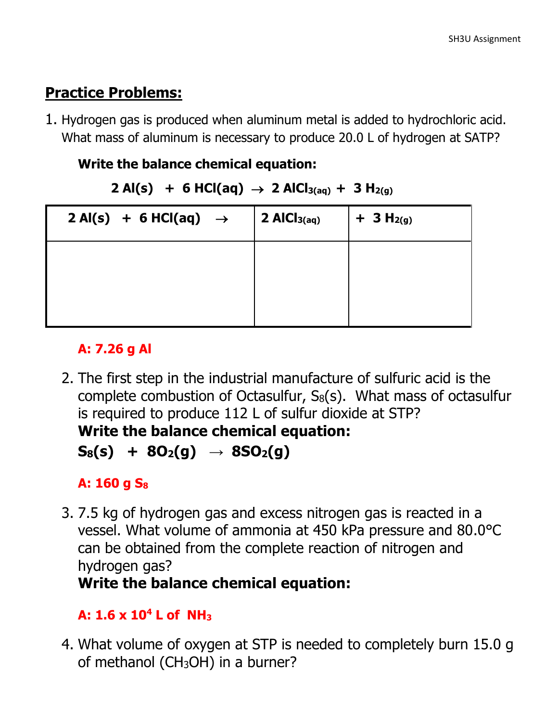### **Practice Problems:**

1. Hydrogen gas is produced when aluminum metal is added to hydrochloric acid. What mass of aluminum is necessary to produce 20.0 L of hydrogen at SATP?

#### **Write the balance chemical equation:**

```
2 \text{ Al}(s) + 6 \text{ HCl}(aq) \rightarrow 2 \text{ AlCl}_{3(aq)} + 3 \text{ H}_{2(q)}
```

| $2 \text{ Al}(s) + 6 \text{ HCl}(aq) \rightarrow$ | $\vert$ 2 AlCl <sub>3(aq)</sub> | $+$ 3 H <sub>2(g)</sub> |
|---------------------------------------------------|---------------------------------|-------------------------|
|                                                   |                                 |                         |
|                                                   |                                 |                         |

#### **A: 7.26 g Al**

2. The first step in the industrial manufacture of sulfuric acid is the complete combustion of Octasulfur,  $S_8(s)$ . What mass of octasulfur is required to produce 112 L of sulfur dioxide at STP? **Write the balance chemical equation:**

```
{\bf S}_8({\bf s}) + 8{\bf O}_2({\bf g}) \rightarrow 8{\bf SO}_2({\bf g})
```
### **A: 160 g S<sup>8</sup>**

3. 7.5 kg of hydrogen gas and excess nitrogen gas is reacted in a vessel. What volume of ammonia at 450 kPa pressure and 80.0°C can be obtained from the complete reaction of nitrogen and hydrogen gas?

## **Write the balance chemical equation:**

### **A: 1.6 x 10<sup>4</sup> L of NH<sup>3</sup>**

4. What volume of oxygen at STP is needed to completely burn 15.0 g of methanol (CH3OH) in a burner?